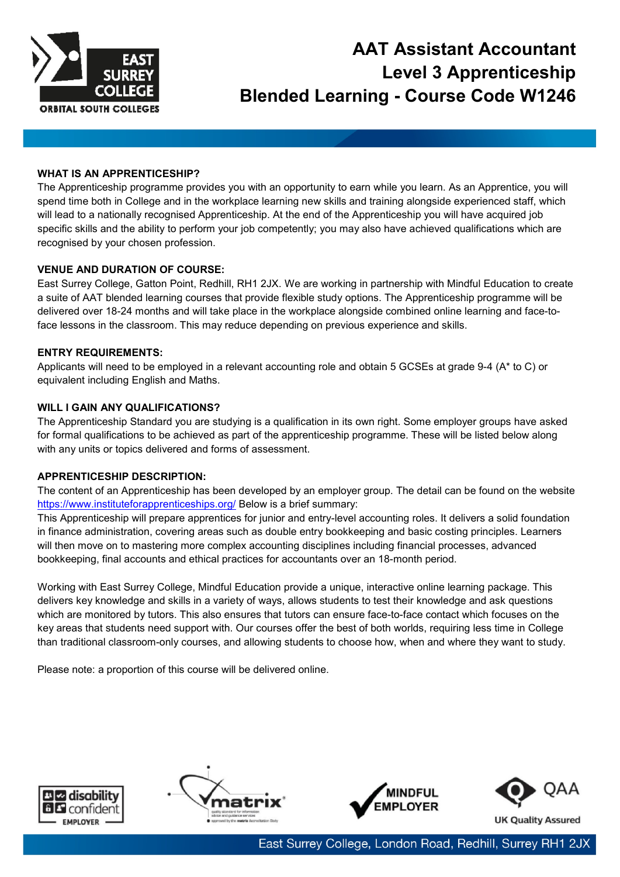

# **AAT Assistant Accountant Level 3 Apprenticeship Blended Learning - Course Code W1246**

## **WHAT IS AN APPRENTICESHIP?**

The Apprenticeship programme provides you with an opportunity to earn while you learn. As an Apprentice, you will spend time both in College and in the workplace learning new skills and training alongside experienced staff, which will lead to a nationally recognised Apprenticeship. At the end of the Apprenticeship you will have acquired job specific skills and the ability to perform your job competently; you may also have achieved qualifications which are recognised by your chosen profession.

## **VENUE AND DURATION OF COURSE:**

East Surrey College, Gatton Point, Redhill, RH1 2JX. We are working in partnership with Mindful Education to create a suite of AAT blended learning courses that provide flexible study options. The Apprenticeship programme will be delivered over 18-24 months and will take place in the workplace alongside combined online learning and face-toface lessons in the classroom. This may reduce depending on previous experience and skills.

## **ENTRY REQUIREMENTS:**

Applicants will need to be employed in a relevant accounting role and obtain 5 GCSEs at grade 9-4 (A\* to C) or equivalent including English and Maths.

## **WILL I GAIN ANY QUALIFICATIONS?**

The Apprenticeship Standard you are studying is a qualification in its own right. Some employer groups have asked for formal qualifications to be achieved as part of the apprenticeship programme. These will be listed below along with any units or topics delivered and forms of assessment.

## **APPRENTICESHIP DESCRIPTION:**

The content of an Apprenticeship has been developed by an employer group. The detail can be found on the website <https://www.instituteforapprenticeships.org/> Below is a brief summary:

This Apprenticeship will prepare apprentices for junior and entry-level accounting roles. It delivers a solid foundation in finance administration, covering areas such as double entry bookkeeping and basic costing principles. Learners will then move on to mastering more complex accounting disciplines including financial processes, advanced bookkeeping, final accounts and ethical practices for accountants over an 18-month period.

Working with East Surrey College, Mindful Education provide a unique, interactive online learning package. This delivers key knowledge and skills in a variety of ways, allows students to test their knowledge and ask questions which are monitored by tutors. This also ensures that tutors can ensure face-to-face contact which focuses on the key areas that students need support with. Our courses offer the best of both worlds, requiring less time in College than traditional classroom-only courses, and allowing students to choose how, when and where they want to study.

Please note: a proportion of this course will be delivered online.









East Surrey College, London Road, Redhill, Surrey RH1 2JX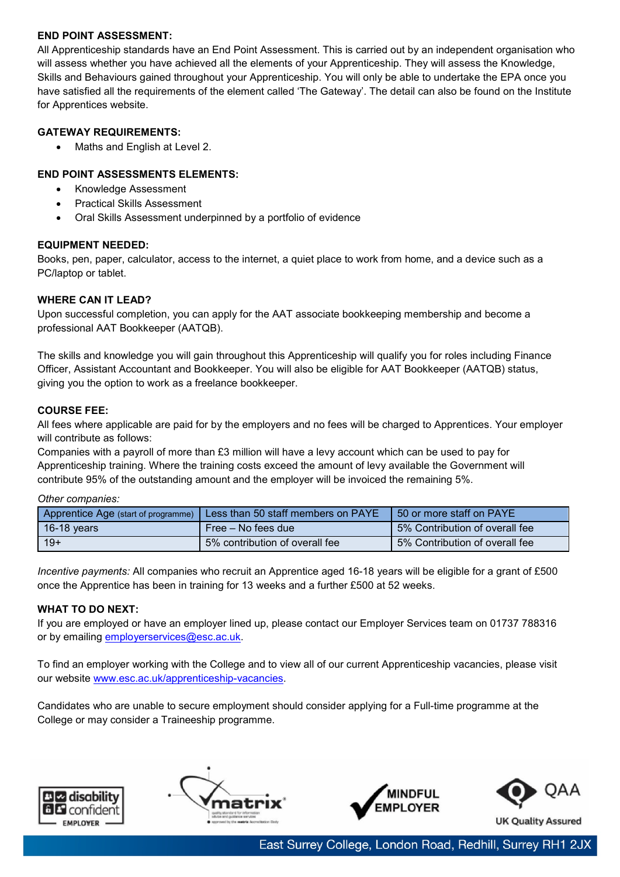## **END POINT ASSESSMENT:**

All Apprenticeship standards have an End Point Assessment. This is carried out by an independent organisation who will assess whether you have achieved all the elements of your Apprenticeship. They will assess the Knowledge, Skills and Behaviours gained throughout your Apprenticeship. You will only be able to undertake the EPA once you have satisfied all the requirements of the element called 'The Gateway'. The detail can also be found on the Institute for Apprentices website.

## **GATEWAY REQUIREMENTS:**

• Maths and English at Level 2.

## **END POINT ASSESSMENTS ELEMENTS:**

- Knowledge Assessment
- Practical Skills Assessment
- Oral Skills Assessment underpinned by a portfolio of evidence

## **EQUIPMENT NEEDED:**

Books, pen, paper, calculator, access to the internet, a quiet place to work from home, and a device such as a PC/laptop or tablet.

## **WHERE CAN IT LEAD?**

Upon successful completion, you can apply for the AAT associate bookkeeping membership and become a professional AAT Bookkeeper (AATQB).

The skills and knowledge you will gain throughout this Apprenticeship will qualify you for roles including Finance Officer, Assistant Accountant and Bookkeeper. You will also be eligible for AAT Bookkeeper (AATQB) status, giving you the option to work as a freelance bookkeeper.

## **COURSE FEE:**

All fees where applicable are paid for by the employers and no fees will be charged to Apprentices. Your employer will contribute as follows:

Companies with a payroll of more than £3 million will have a levy account which can be used to pay for Apprenticeship training. Where the training costs exceed the amount of levy available the Government will contribute 95% of the outstanding amount and the employer will be invoiced the remaining 5%.

## *Other companies:*

| Apprentice Age (start of programme) | Less than 50 staff members on PAYE | 50 or more staff on PAYE       |
|-------------------------------------|------------------------------------|--------------------------------|
| 16-18 years                         | Free – No fees due                 | 5% Contribution of overall fee |
| $19+$                               | 5% contribution of overall fee     | 5% Contribution of overall fee |

*Incentive payments:* All companies who recruit an Apprentice aged 16-18 years will be eligible for a grant of £500 once the Apprentice has been in training for 13 weeks and a further £500 at 52 weeks.

## **WHAT TO DO NEXT:**

If you are employed or have an employer lined up, please contact our Employer Services team on 01737 788316 or by emailing [employerservices@esc.ac.uk.](mailto:employerservices@esc.ac.uk)

To find an employer working with the College and to view all of our current Apprenticeship vacancies, please visit our website [www.esc.ac.uk/apprenticeship-vacancies.](http://www.esc.ac.uk/apprenticeship-vacancies)

Candidates who are unable to secure employment should consider applying for a Full-time programme at the College or may consider a Traineeship programme.